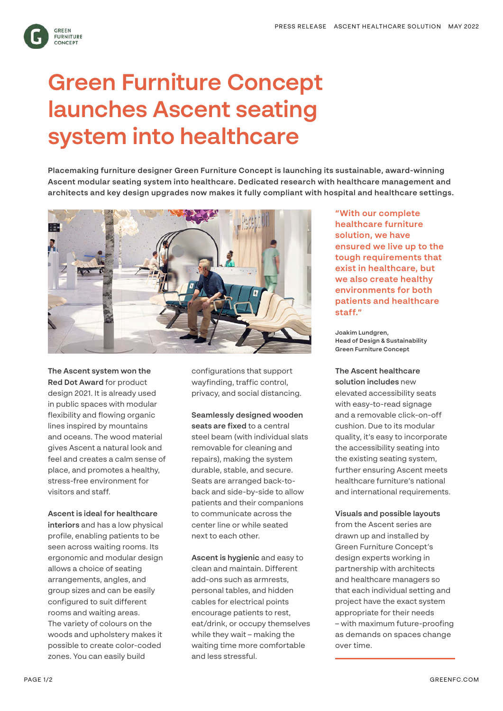**GREEN FURNITURE** CONCEPT

# **Green Furniture Concept launches Ascent seating system into healthcare**

**Placemaking furniture designer Green Furniture Concept is launching its sustainable, award-winning Ascent modular seating system into healthcare. Dedicated research with healthcare management and architects and key design upgrades now makes it fully compliant with hospital and healthcare settings.** 



**The Ascent system won the Red Dot Award** for product design 2021. It is already used in public spaces with modular flexibility and flowing organic lines inspired by mountains and oceans. The wood material gives Ascent a natural look and feel and creates a calm sense of place, and promotes a healthy, stress-free environment for visitors and staff.

### **Ascent is ideal for healthcare**

**interiors** and has a low physical profile, enabling patients to be seen across waiting rooms. Its ergonomic and modular design allows a choice of seating arrangements, angles, and group sizes and can be easily configured to suit different rooms and waiting areas. The variety of colours on the woods and upholstery makes it possible to create color-coded zones. You can easily build

configurations that support wayfinding, traffic control, privacy, and social distancing.

## **Seamlessly designed wooden seats are fixed** to a central steel beam (with individual slats removable for cleaning and repairs), making the system durable, stable, and secure. Seats are arranged back-toback and side-by-side to allow patients and their companions to communicate across the center line or while seated next to each other.

**Ascent is hygienic** and easy to clean and maintain. Different add-ons such as armrests, personal tables, and hidden cables for electrical points encourage patients to rest, eat/drink, or occupy themselves while they wait – making the waiting time more comfortable and less stressful.

**"With our complete healthcare furniture solution, we have ensured we live up to the tough requirements that exist in healthcare, but we also create healthy environments for both patients and healthcare staff."**

**Joakim Lundgren, Head of Design & Sustainability Green Furniture Concept**

**The Ascent healthcare** 

**solution includes** new elevated accessibility seats with easy-to-read signage and a removable click-on-off cushion. Due to its modular quality, it's easy to incorporate the accessibility seating into the existing seating system, further ensuring Ascent meets healthcare furniture's national and international requirements.

#### **Visuals and possible layouts**

from the Ascent series are drawn up and installed by Green Furniture Concept's design experts working in partnership with architects and healthcare managers so that each individual setting and project have the exact system appropriate for their needs – with maximum future-proofing as demands on spaces change over time.